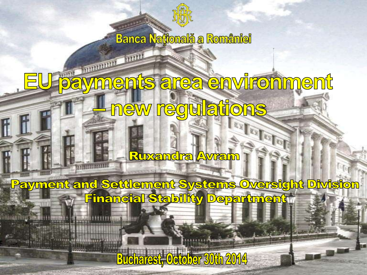

**Banca Națională a României** 

**INITE** 

**MARITAGE** 

## ments area environment **MSG** new regulations

**Ruxandra Avram** 

**Motor** 

Payment and Settlement Systems Oversight Division **Financial Stability Department** 

**Bucharest, October 30th 2014**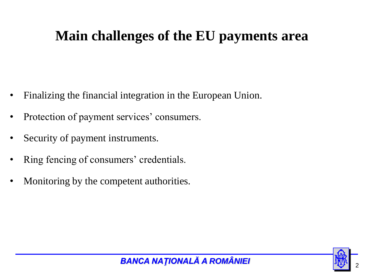## **Main challenges of the EU payments area**

- Finalizing the financial integration in the European Union.
- Protection of payment services' consumers.
- Security of payment instruments.
- Ring fencing of consumers' credentials.
- Monitoring by the competent authorities.

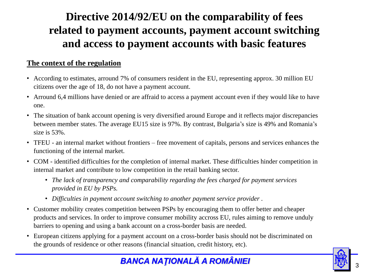### **Directive 2014/92/EU on the comparability of fees related to payment accounts, payment account switching and access to payment accounts with basic features**

#### **The context of the regulation**

- According to estimates, arround 7% of consumers resident in the EU, representing approx. 30 million EU citizens over the age of 18, do not have a payment account.
- Arround 6,4 millions have denied or are affraid to access a payment account even if they would like to have one.
- The situation of bank account opening is very diversified around Europe and it reflects major discrepancies between member states. The average EU15 size is 97%. By contrast, Bulgaria's size is 49% and Romania's size is 53%.
- TFEU an internal market without frontiers free movement of capitals, persons and services enhances the functioning of the internal market.
- COM identified difficulties for the completion of internal market. These difficulties hinder competition in internal market and contribute to low competition in the retail banking sector.
	- *The lack of transparency and comparability regarding the fees charged for payment services provided in EU by PSPs.*
	- *Difficulties in payment account switching to another payment service provider .*
- Customer mobility creates competition between PSPs by encouraging them to offer better and cheaper products and services. In order to improve consumer mobility accross EU, rules aiming to remove unduly barriers to opening and using a bank account on a cross-border basis are needed.
- European citizens applying for a payment account on a cross-border basis should not be discriminated on the grounds of residence or other reasons (financial situation, credit history, etc).

#### **BANCA NAȚIONALĂ A ROMÂNIEI**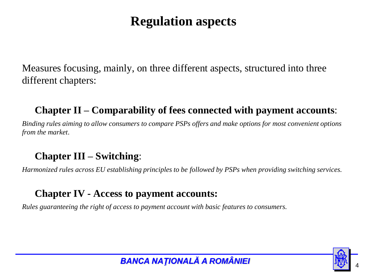### **Regulation aspects**

Measures focusing, mainly, on three different aspects, structured into three different chapters:

#### **Chapter II – Comparability of fees connected with payment accounts**:

*Binding rules aiming to allow consumers to compare PSPs offers and make options for most convenient options from the market*.

#### **Chapter III – Switching**:

*Harmonized rules across EU establishing principles to be followed by PSPs when providing switching services.*

#### **Chapter IV - Access to payment accounts:**

*Rules guaranteeing the right of access to payment account with basic features to consumers.*

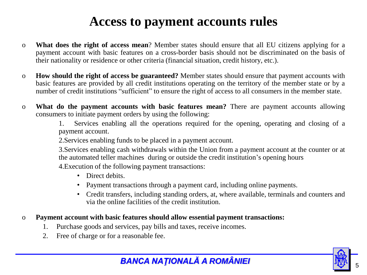### **Access to payment accounts rules**

- o **What does the right of access mean**? Member states should ensure that all EU citizens applying for a payment account with basic features on a cross-border basis should not be discriminated on the basis of their nationality or residence or other criteria (financial situation, credit history, etc.).
- o **How should the right of access be guaranteed?** Member states should ensure that payment accounts with basic features are provided by all credit institutions operating on the territory of the member state or by a number of credit institutions "sufficient" to ensure the right of access to all consumers in the member state.
- o **What do the payment accounts with basic features mean?** There are payment accounts allowing consumers to initiate payment orders by using the following:

1. Services enabling all the operations required for the opening, operating and closing of a payment account.

2.Services enabling funds to be placed in a payment account.

3.Services enabling cash withdrawals within the Union from a payment account at the counter or at the automated teller machines during or outside the credit institution's opening hours

4.Execution of the following payment transactions:

- Direct debits.
- Payment transactions through a payment card, including online payments.
- Credit transfers, including standing orders, at, where available, terminals and counters and via the online facilities of the credit institution.

#### o **Payment account with basic features should allow essential payment transactions:**

- 1. Purchase goods and services, pay bills and taxes, receive incomes.
- 2. Free of charge or for a reasonable fee.

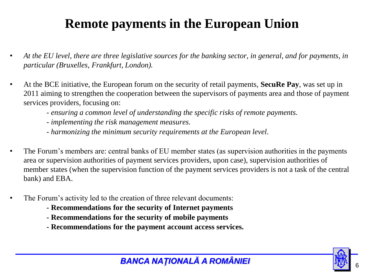### **Remote payments in the European Union**

- *At the EU level, there are three legislative sources for the banking sector, in general, and for payments, in particular (Bruxelles, Frankfurt, London).*
- At the BCE initiative, the European forum on the security of retail payments, **SecuRe Pay**, was set up in 2011 aiming to strengthen the cooperation between the supervisors of payments area and those of payment services providers, focusing on:
	- *ensuring a common level of understanding the specific risks of remote payments.*
	- *- implementing the risk management measures.*
	- *- harmonizing the minimum security requirements at the European level.*
- The Forum's members are: central banks of EU member states (as supervision authorities in the payments area or supervision authorities of payment services providers, upon case), supervision authorities of member states (when the supervision function of the payment services providers is not a task of the central bank) and EBA.
- The Forum's activity led to the creation of three relevant documents:
	- **- Recommendations for the security of Internet payments**
	- **- Recommendations for the security of mobile payments**
	- **- Recommendations for the payment account access services.**



#### *BANCA NAŢIONALĂ A ROMÂNIEI* <sup>6</sup>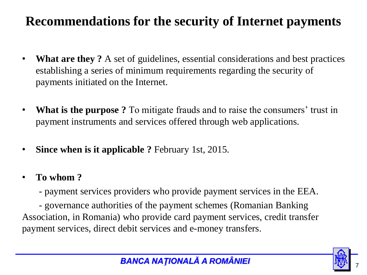### **Recommendations for the security of Internet payments**

- **What are they ?** A set of guidelines, essential considerations and best practices establishing a series of minimum requirements regarding the security of payments initiated on the Internet.
- **What is the purpose ?** To mitigate frauds and to raise the consumers' trust in payment instruments and services offered through web applications.
- **Since when is it applicable ?** February 1st, 2015.
- **To whom ?**
	- payment services providers who provide payment services in the EEA.

- governance authorities of the payment schemes (Romanian Banking Association, in Romania) who provide card payment services, credit transfer payment services, direct debit services and e-money transfers.

#### **BANCA NAȚIONALĂ A ROMÂNIEI**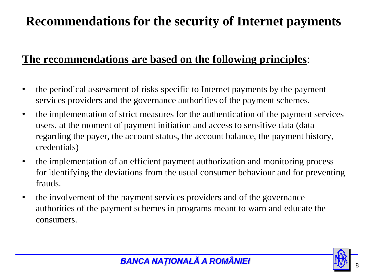### **Recommendations for the security of Internet payments**

### **The recommendations are based on the following principles**:

- the periodical assessment of risks specific to Internet payments by the payment services providers and the governance authorities of the payment schemes.
- the implementation of strict measures for the authentication of the payment services users, at the moment of payment initiation and access to sensitive data (data regarding the payer, the account status, the account balance, the payment history, credentials)
- the implementation of an efficient payment authorization and monitoring process for identifying the deviations from the usual consumer behaviour and for preventing frauds.
- the involvement of the payment services providers and of the governance authorities of the payment schemes in programs meant to warn and educate the consumers.

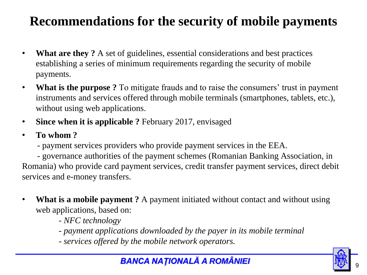### **Recommendations for the security of mobile payments**

- **What are they ?** A set of guidelines, essential considerations and best practices establishing a series of minimum requirements regarding the security of mobile payments.
- **What is the purpose ?** To mitigate frauds and to raise the consumers' trust in payment instruments and services offered through mobile terminals (smartphones, tablets, etc.), without using web applications.
- **Since when it is applicable ?** February 2017, envisaged
- **To whom ?**
	- payment services providers who provide payment services in the EEA.

- governance authorities of the payment schemes (Romanian Banking Association, in Romania) who provide card payment services, credit transfer payment services, direct debit services and e-money transfers.

- **What is a mobile payment** ? A payment initiated without contact and without using web applications, based on:
	- *NFC technology*
	- *- payment applications downloaded by the payer in its mobile terminal*
	- *- services offered by the mobile network operators.*

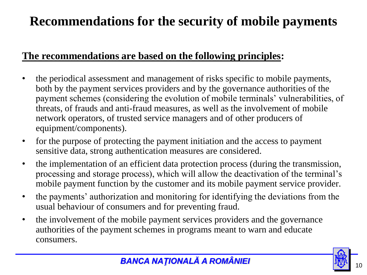### **Recommendations for the security of mobile payments**

#### **The recommendations are based on the following principles:**

- the periodical assessment and management of risks specific to mobile payments, both by the payment services providers and by the governance authorities of the payment schemes (considering the evolution of mobile terminals' vulnerabilities, of threats, of frauds and anti-fraud measures, as well as the involvement of mobile network operators, of trusted service managers and of other producers of equipment/components).
- for the purpose of protecting the payment initiation and the access to payment sensitive data, strong authentication measures are considered.
- the implementation of an efficient data protection process (during the transmission, processing and storage process), which will allow the deactivation of the terminal's mobile payment function by the customer and its mobile payment service provider.
- the payments' authorization and monitoring for identifying the deviations from the usual behaviour of consumers and for preventing fraud.
- the involvement of the mobile payment services providers and the governance authorities of the payment schemes in programs meant to warn and educate consumers.

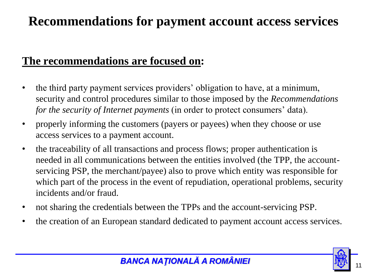### **Recommendations for payment account access services**

#### **The recommendations are focused on:**

- the third party payment services providers' obligation to have, at a minimum, security and control procedures similar to those imposed by the *Recommendations for the security of Internet payments* (in order to protect consumers' data).
- properly informing the customers (payers or payees) when they choose or use access services to a payment account.
- the traceability of all transactions and process flows; proper authentication is needed in all communications between the entities involved (the TPP, the accountservicing PSP, the merchant/payee) also to prove which entity was responsible for which part of the process in the event of repudiation, operational problems, security incidents and/or fraud.
- not sharing the credentials between the TPPs and the account-servicing PSP.
- the creation of an European standard dedicated to payment account access services.

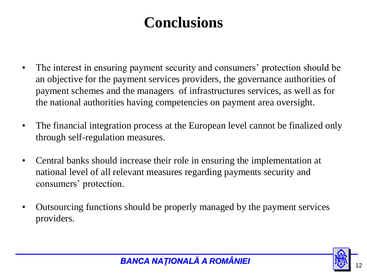# **Conclusions**

- The interest in ensuring payment security and consumers' protection should be an objective for the payment services providers, the governance authorities of payment schemes and the managers of infrastructures services, as well as for the national authorities having competencies on payment area oversight.
- The financial integration process at the European level cannot be finalized only through self-regulation measures.
- Central banks should increase their role in ensuring the implementation at national level of all relevant measures regarding payments security and consumers' protection.
- Outsourcing functions should be properly managed by the payment services providers.